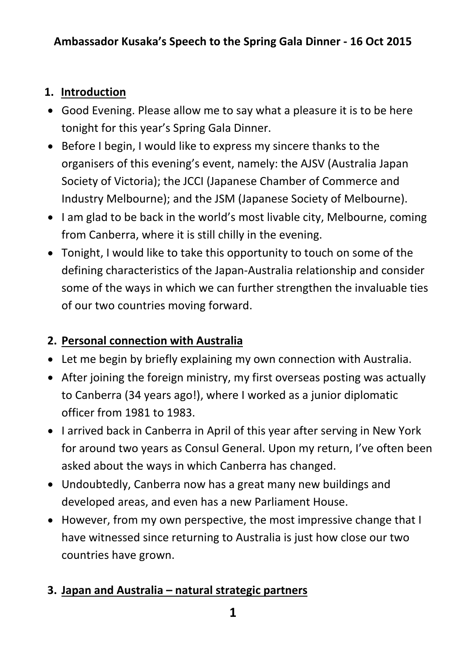#### **1. Introduction**

- Good Evening. Please allow me to say what a pleasure it is to be here tonight for this year's Spring Gala Dinner.
- Before I begin, I would like to express my sincere thanks to the organisers of this evening's event, namely: the AJSV (Australia Japan Society of Victoria); the JCCI (Japanese Chamber of Commerce and Industry Melbourne); and the JSM (Japanese Society of Melbourne).
- I am glad to be back in the world's most livable city, Melbourne, coming from Canberra, where it is still chilly in the evening.
- Tonight, I would like to take this opportunity to touch on some of the defining characteristics of the Japan-Australia relationship and consider some of the ways in which we can further strengthen the invaluable ties of our two countries moving forward.

# **2. Personal connection with Australia**

- Let me begin by briefly explaining my own connection with Australia.
- After joining the foreign ministry, my first overseas posting was actually to Canberra (34 years ago!), where I worked as a junior diplomatic officer from 1981 to 1983.
- I arrived back in Canberra in April of this year after serving in New York for around two years as Consul General. Upon my return, I've often been asked about the ways in which Canberra has changed.
- Undoubtedly, Canberra now has a great many new buildings and developed areas, and even has a new Parliament House.
- However, from my own perspective, the most impressive change that I have witnessed since returning to Australia is just how close our two countries have grown.

# **3. Japan and Australia – natural strategic partners**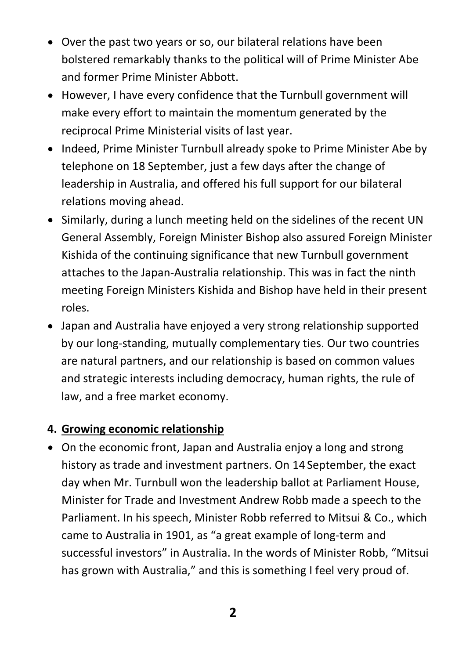- Over the past two years or so, our bilateral relations have been bolstered remarkably thanks to the political will of Prime Minister Abe and former Prime Minister Abbott.
- However, I have every confidence that the Turnbull government will make every effort to maintain the momentum generated by the reciprocal Prime Ministerial visits of last year.
- Indeed, Prime Minister Turnbull already spoke to Prime Minister Abe by telephone on 18 September, just a few days after the change of leadership in Australia, and offered his full support for our bilateral relations moving ahead.
- Similarly, during a lunch meeting held on the sidelines of the recent UN General Assembly, Foreign Minister Bishop also assured Foreign Minister Kishida of the continuing significance that new Turnbull government attaches to the Japan-Australia relationship. This was in fact the ninth meeting Foreign Ministers Kishida and Bishop have held in their present roles.
- Japan and Australia have enjoyed a very strong relationship supported by our long-standing, mutually complementary ties. Our two countries are natural partners, and our relationship is based on common values and strategic interests including democracy, human rights, the rule of law, and a free market economy.

# **4. Growing economic relationship**

On the economic front, Japan and Australia enjoy a long and strong history as trade and investment partners. On 14 September, the exact day when Mr. Turnbull won the leadership ballot at Parliament House, Minister for Trade and Investment Andrew Robb made a speech to the Parliament. In his speech, Minister Robb referred to Mitsui & Co., which came to Australia in 1901, as "a great example of long-term and successful investors" in Australia. In the words of Minister Robb, "Mitsui has grown with Australia," and this is something I feel very proud of.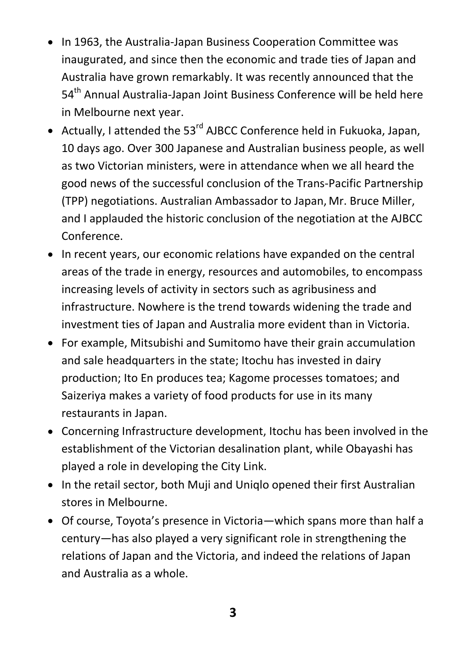- In 1963, the Australia-Japan Business Cooperation Committee was inaugurated, and since then the economic and trade ties of Japan and Australia have grown remarkably. It was recently announced that the 54<sup>th</sup> Annual Australia-Japan Joint Business Conference will be held here in Melbourne next year.
- Actually, I attended the 53<sup>rd</sup> AJBCC Conference held in Fukuoka, Japan, 10 days ago. Over 300 Japanese and Australian business people, as well as two Victorian ministers, were in attendance when we all heard the good news of the successful conclusion of the Trans-Pacific Partnership (TPP) negotiations. Australian Ambassador to Japan, Mr. Bruce Miller, and I applauded the historic conclusion of the negotiation at the AJBCC Conference.
- In recent years, our economic relations have expanded on the central areas of the trade in energy, resources and automobiles, to encompass increasing levels of activity in sectors such as agribusiness and infrastructure. Nowhere is the trend towards widening the trade and investment ties of Japan and Australia more evident than in Victoria.
- For example, Mitsubishi and Sumitomo have their grain accumulation and sale headquarters in the state; Itochu has invested in dairy production; Ito En produces tea; Kagome processes tomatoes; and Saizeriya makes a variety of food products for use in its many restaurants in Japan.
- Concerning Infrastructure development, Itochu has been involved in the establishment of the Victorian desalination plant, while Obayashi has played a role in developing the City Link.
- In the retail sector, both Muji and Uniglo opened their first Australian stores in Melbourne.
- Of course, Toyota's presence in Victoria—which spans more than half a century—has also played a very significant role in strengthening the relations of Japan and the Victoria, and indeed the relations of Japan and Australia as a whole.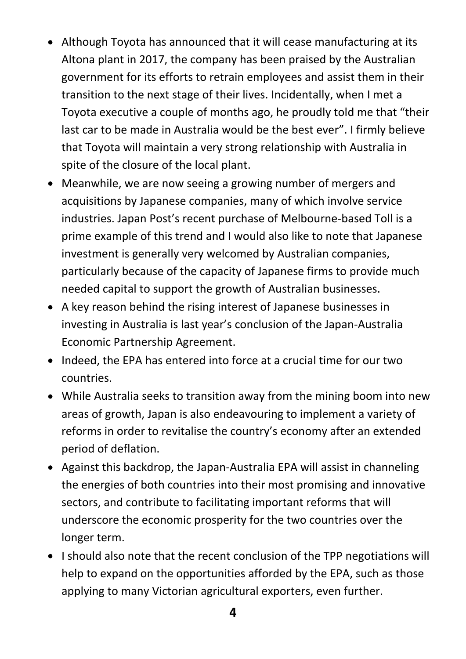- Although Toyota has announced that it will cease manufacturing at its Altona plant in 2017, the company has been praised by the Australian government for its efforts to retrain employees and assist them in their transition to the next stage of their lives. Incidentally, when I met a Toyota executive a couple of months ago, he proudly told me that "their last car to be made in Australia would be the best ever". I firmly believe that Toyota will maintain a very strong relationship with Australia in spite of the closure of the local plant.
- Meanwhile, we are now seeing a growing number of mergers and acquisitions by Japanese companies, many of which involve service industries. Japan Post's recent purchase of Melbourne-based Toll is a prime example of this trend and I would also like to note that Japanese investment is generally very welcomed by Australian companies, particularly because of the capacity of Japanese firms to provide much needed capital to support the growth of Australian businesses.
- A key reason behind the rising interest of Japanese businesses in investing in Australia is last year's conclusion of the Japan-Australia Economic Partnership Agreement.
- Indeed, the EPA has entered into force at a crucial time for our two countries.
- While Australia seeks to transition away from the mining boom into new areas of growth, Japan is also endeavouring to implement a variety of reforms in order to revitalise the country's economy after an extended period of deflation.
- Against this backdrop, the Japan-Australia EPA will assist in channeling the energies of both countries into their most promising and innovative sectors, and contribute to facilitating important reforms that will underscore the economic prosperity for the two countries over the longer term.
- I should also note that the recent conclusion of the TPP negotiations will help to expand on the opportunities afforded by the EPA, such as those applying to many Victorian agricultural exporters, even further.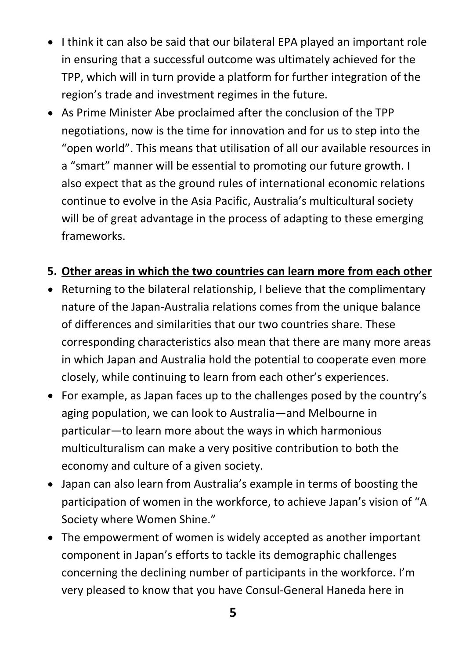- I think it can also be said that our bilateral EPA played an important role in ensuring that a successful outcome was ultimately achieved for the TPP, which will in turn provide a platform for further integration of the region's trade and investment regimes in the future.
- As Prime Minister Abe proclaimed after the conclusion of the TPP negotiations, now is the time for innovation and for us to step into the "open world". This means that utilisation of all our available resources in a "smart" manner will be essential to promoting our future growth. I also expect that as the ground rules of international economic relations continue to evolve in the Asia Pacific, Australia's multicultural society will be of great advantage in the process of adapting to these emerging frameworks.

#### **5. Other areas in which the two countries can learn more from each other**

- Returning to the bilateral relationship, I believe that the complimentary nature of the Japan-Australia relations comes from the unique balance of differences and similarities that our two countries share. These corresponding characteristics also mean that there are many more areas in which Japan and Australia hold the potential to cooperate even more closely, while continuing to learn from each other's experiences.
- For example, as Japan faces up to the challenges posed by the country's aging population, we can look to Australia—and Melbourne in particular—to learn more about the ways in which harmonious multiculturalism can make a very positive contribution to both the economy and culture of a given society.
- Japan can also learn from Australia's example in terms of boosting the participation of women in the workforce, to achieve Japan's vision of "A Society where Women Shine."
- The empowerment of women is widely accepted as another important component in Japan's efforts to tackle its demographic challenges concerning the declining number of participants in the workforce. I'm very pleased to know that you have Consul-General Haneda here in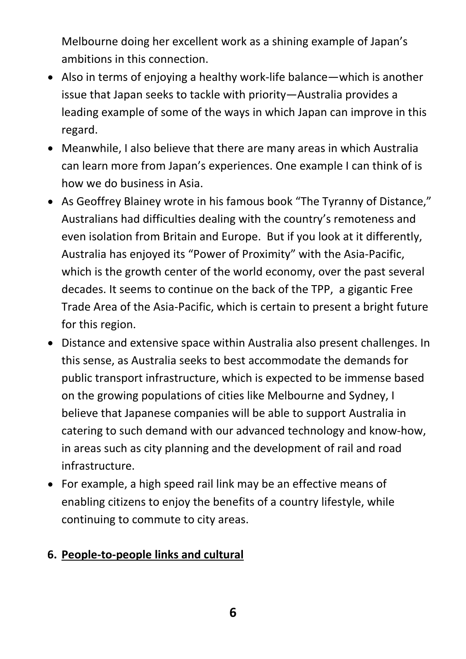Melbourne doing her excellent work as a shining example of Japan's ambitions in this connection.

- Also in terms of enjoying a healthy work-life balance—which is another issue that Japan seeks to tackle with priority—Australia provides a leading example of some of the ways in which Japan can improve in this regard.
- Meanwhile, I also believe that there are many areas in which Australia can learn more from Japan's experiences. One example I can think of is how we do business in Asia.
- As Geoffrey Blainey wrote in his famous book "The Tyranny of Distance," Australians had difficulties dealing with the country's remoteness and even isolation from Britain and Europe. But if you look at it differently, Australia has enjoyed its "Power of Proximity" with the Asia-Pacific, which is the growth center of the world economy, over the past several decades. It seems to continue on the back of the TPP, a gigantic Free Trade Area of the Asia-Pacific, which is certain to present a bright future for this region.
- Distance and extensive space within Australia also present challenges. In this sense, as Australia seeks to best accommodate the demands for public transport infrastructure, which is expected to be immense based on the growing populations of cities like Melbourne and Sydney, I believe that Japanese companies will be able to support Australia in catering to such demand with our advanced technology and know-how, in areas such as city planning and the development of rail and road infrastructure.
- For example, a high speed rail link may be an effective means of enabling citizens to enjoy the benefits of a country lifestyle, while continuing to commute to city areas.

#### **6. People-to-people links and cultural**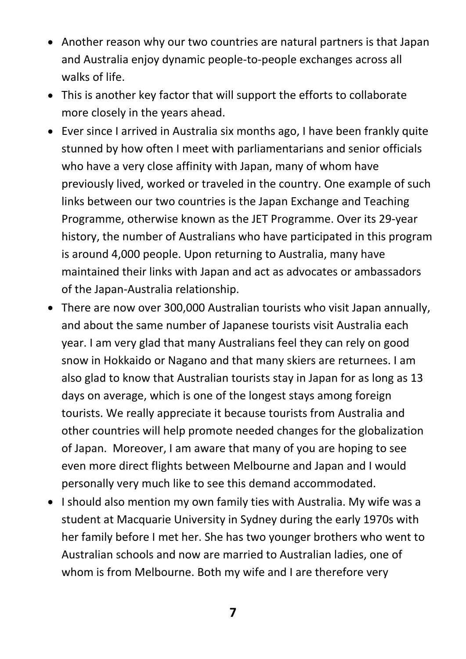- Another reason why our two countries are natural partners is that Japan and Australia enjoy dynamic people-to-people exchanges across all walks of life.
- This is another key factor that will support the efforts to collaborate more closely in the years ahead.
- Ever since I arrived in Australia six months ago, I have been frankly quite stunned by how often I meet with parliamentarians and senior officials who have a very close affinity with Japan, many of whom have previously lived, worked or traveled in the country. One example of such links between our two countries is the Japan Exchange and Teaching Programme, otherwise known as the JET Programme. Over its 29-year history, the number of Australians who have participated in this program is around 4,000 people. Upon returning to Australia, many have maintained their links with Japan and act as advocates or ambassadors of the Japan-Australia relationship.
- There are now over 300,000 Australian tourists who visit Japan annually, and about the same number of Japanese tourists visit Australia each year. I am very glad that many Australians feel they can rely on good snow in Hokkaido or Nagano and that many skiers are returnees. I am also glad to know that Australian tourists stay in Japan for as long as 13 days on average, which is one of the longest stays among foreign tourists. We really appreciate it because tourists from Australia and other countries will help promote needed changes for the globalization of Japan. Moreover, I am aware that many of you are hoping to see even more direct flights between Melbourne and Japan and I would personally very much like to see this demand accommodated.
- I should also mention my own family ties with Australia. My wife was a student at Macquarie University in Sydney during the early 1970s with her family before I met her. She has two younger brothers who went to Australian schools and now are married to Australian ladies, one of whom is from Melbourne. Both my wife and I are therefore very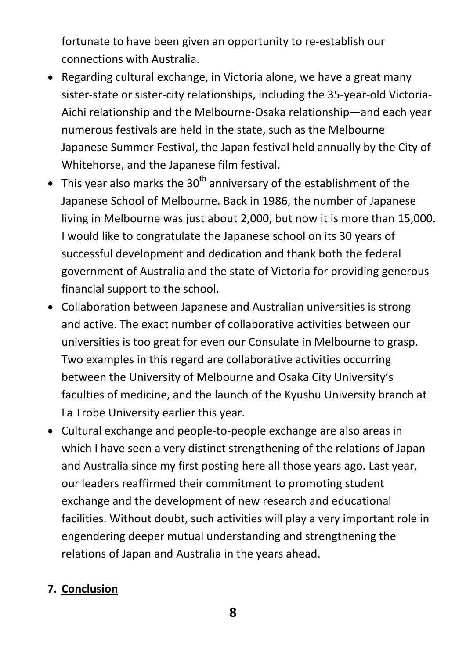fortunate to have been given an opportunity to re-establish our connections with Australia.

- Regarding cultural exchange, in Victoria alone, we have a great many sister-state or sister-city relationships, including the 35-year-old Victoria-Aichi relationship and the Melbourne-Osaka relationship—and each year numerous festivals are held in the state, such as the Melbourne Japanese Summer Festival, the Japan festival held annually by the City of Whitehorse, and the Japanese film festival.
- This year also marks the 30<sup>th</sup> anniversary of the establishment of the Japanese School of Melbourne. Back in 1986, the number of Japanese living in Melbourne was just about 2,000, but now it is more than 15,000. I would like to congratulate the Japanese school on its 30 years of successful development and dedication and thank both the federal government of Australia and the state of Victoria for providing generous financial support to the school.
- Collaboration between Japanese and Australian universities is strong and active. The exact number of collaborative activities between our universities is too great for even our Consulate in Melbourne to grasp. Two examples in this regard are collaborative activities occurring between the University of Melbourne and Osaka City University's faculties of medicine, and the launch of the Kyushu University branch at La Trobe University earlier this year.
- Cultural exchange and people-to-people exchange are also areas in which I have seen a very distinct strengthening of the relations of Japan and Australia since my first posting here all those years ago. Last year, our leaders reaffirmed their commitment to promoting student exchange and the development of new research and educational facilities. Without doubt, such activities will play a very important role in engendering deeper mutual understanding and strengthening the relations of Japan and Australia in the years ahead.

# **7. Conclusion**